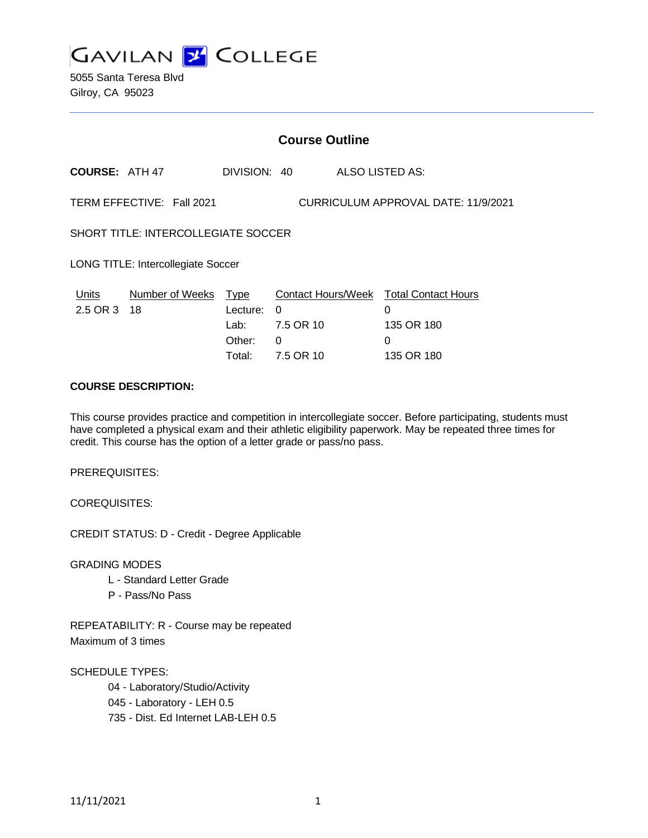

5055 Santa Teresa Blvd Gilroy, CA 95023

|                                                                  | <b>Course Outline</b> |              |           |  |                                        |
|------------------------------------------------------------------|-----------------------|--------------|-----------|--|----------------------------------------|
| <b>COURSE: ATH 47</b>                                            |                       | DIVISION: 40 |           |  | ALSO LISTED AS:                        |
| TERM EFFECTIVE: Fall 2021<br>CURRICULUM APPROVAL DATE: 11/9/2021 |                       |              |           |  |                                        |
| SHORT TITLE: INTERCOLLEGIATE SOCCER                              |                       |              |           |  |                                        |
| <b>LONG TITLE: Intercollegiate Soccer</b>                        |                       |              |           |  |                                        |
| Units                                                            | Number of Weeks       | <u>Type</u>  |           |  | Contact Hours/Week Total Contact Hours |
| 2.5 OR 3 18                                                      |                       | Lecture:     | $\Omega$  |  | 0                                      |
|                                                                  |                       | Lab:         | 7.5 OR 10 |  | 135 OR 180                             |
|                                                                  |                       | Other:       | 0         |  | 0                                      |
|                                                                  |                       | Total:       | 7.5 OR 10 |  | 135 OR 180                             |

### **COURSE DESCRIPTION:**

This course provides practice and competition in intercollegiate soccer. Before participating, students must have completed a physical exam and their athletic eligibility paperwork. May be repeated three times for credit. This course has the option of a letter grade or pass/no pass.

PREREQUISITES:

COREQUISITES:

CREDIT STATUS: D - Credit - Degree Applicable

GRADING MODES

- L Standard Letter Grade
- P Pass/No Pass

REPEATABILITY: R - Course may be repeated Maximum of 3 times

SCHEDULE TYPES:

04 - Laboratory/Studio/Activity

045 - Laboratory - LEH 0.5

735 - Dist. Ed Internet LAB-LEH 0.5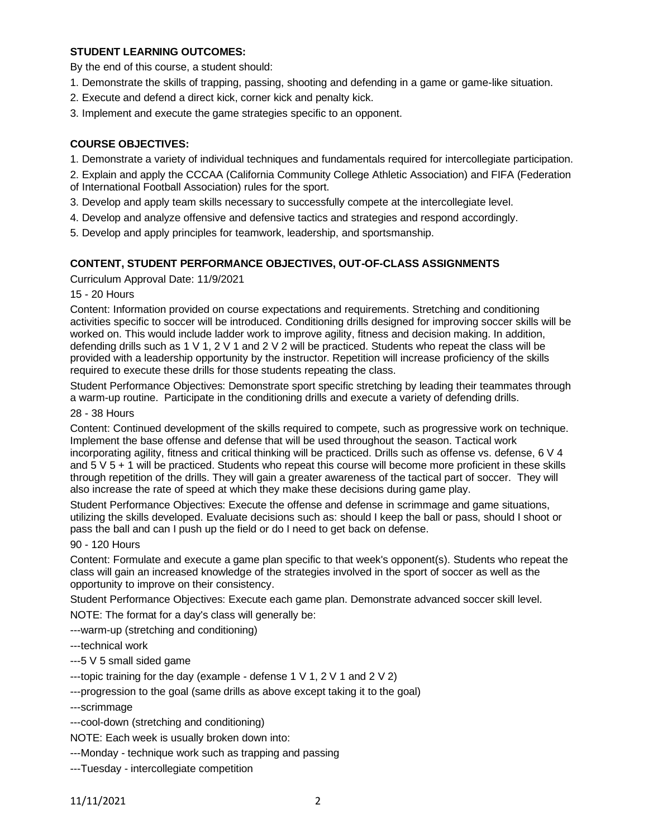# **STUDENT LEARNING OUTCOMES:**

By the end of this course, a student should:

- 1. Demonstrate the skills of trapping, passing, shooting and defending in a game or game-like situation.
- 2. Execute and defend a direct kick, corner kick and penalty kick.
- 3. Implement and execute the game strategies specific to an opponent.

### **COURSE OBJECTIVES:**

- 1. Demonstrate a variety of individual techniques and fundamentals required for intercollegiate participation.
- 2. Explain and apply the CCCAA (California Community College Athletic Association) and FIFA (Federation of International Football Association) rules for the sport.
- 3. Develop and apply team skills necessary to successfully compete at the intercollegiate level.
- 4. Develop and analyze offensive and defensive tactics and strategies and respond accordingly.
- 5. Develop and apply principles for teamwork, leadership, and sportsmanship.

### **CONTENT, STUDENT PERFORMANCE OBJECTIVES, OUT-OF-CLASS ASSIGNMENTS**

Curriculum Approval Date: 11/9/2021

### 15 - 20 Hours

Content: Information provided on course expectations and requirements. Stretching and conditioning activities specific to soccer will be introduced. Conditioning drills designed for improving soccer skills will be worked on. This would include ladder work to improve agility, fitness and decision making. In addition, defending drills such as 1 V 1, 2 V 1 and 2 V 2 will be practiced. Students who repeat the class will be provided with a leadership opportunity by the instructor. Repetition will increase proficiency of the skills required to execute these drills for those students repeating the class.

Student Performance Objectives: Demonstrate sport specific stretching by leading their teammates through a warm-up routine. Participate in the conditioning drills and execute a variety of defending drills.

#### 28 - 38 Hours

Content: Continued development of the skills required to compete, such as progressive work on technique. Implement the base offense and defense that will be used throughout the season. Tactical work incorporating agility, fitness and critical thinking will be practiced. Drills such as offense vs. defense, 6 V 4 and 5 V 5 + 1 will be practiced. Students who repeat this course will become more proficient in these skills through repetition of the drills. They will gain a greater awareness of the tactical part of soccer. They will also increase the rate of speed at which they make these decisions during game play.

Student Performance Objectives: Execute the offense and defense in scrimmage and game situations, utilizing the skills developed. Evaluate decisions such as: should I keep the ball or pass, should I shoot or pass the ball and can I push up the field or do I need to get back on defense.

#### 90 - 120 Hours

Content: Formulate and execute a game plan specific to that week's opponent(s). Students who repeat the class will gain an increased knowledge of the strategies involved in the sport of soccer as well as the opportunity to improve on their consistency.

Student Performance Objectives: Execute each game plan. Demonstrate advanced soccer skill level.

NOTE: The format for a day's class will generally be:

---warm-up (stretching and conditioning)

---technical work

---5 V 5 small sided game

---topic training for the day (example - defense 1  $\vee$  1, 2  $\vee$  1 and 2  $\vee$  2)

---progression to the goal (same drills as above except taking it to the goal)

---scrimmage

---cool-down (stretching and conditioning)

NOTE: Each week is usually broken down into:

---Monday - technique work such as trapping and passing

---Tuesday - intercollegiate competition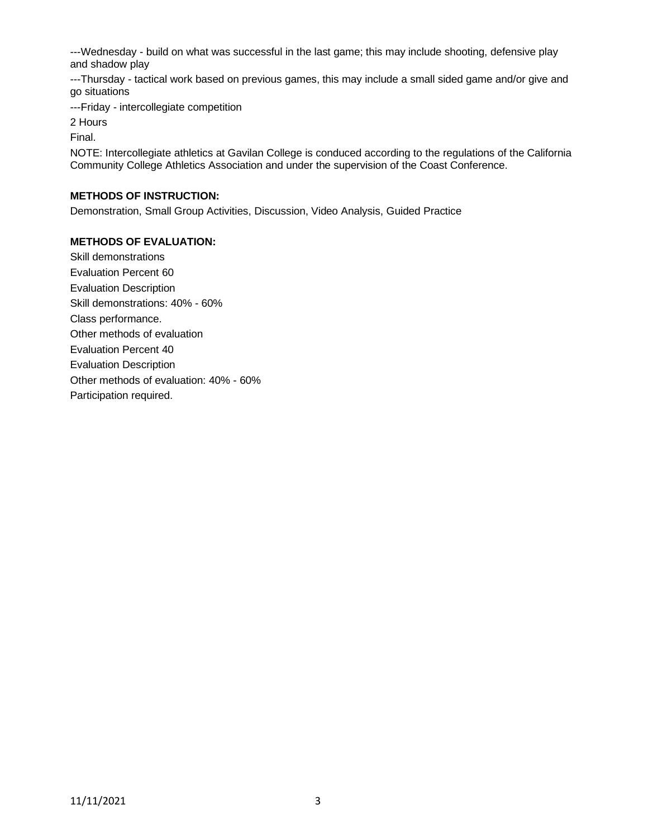---Wednesday - build on what was successful in the last game; this may include shooting, defensive play and shadow play

---Thursday - tactical work based on previous games, this may include a small sided game and/or give and go situations

---Friday - intercollegiate competition

2 Hours

Final.

NOTE: Intercollegiate athletics at Gavilan College is conduced according to the regulations of the California Community College Athletics Association and under the supervision of the Coast Conference.

## **METHODS OF INSTRUCTION:**

Demonstration, Small Group Activities, Discussion, Video Analysis, Guided Practice

## **METHODS OF EVALUATION:**

Skill demonstrations Evaluation Percent 60 Evaluation Description Skill demonstrations: 40% - 60% Class performance. Other methods of evaluation Evaluation Percent 40 Evaluation Description Other methods of evaluation: 40% - 60% Participation required.